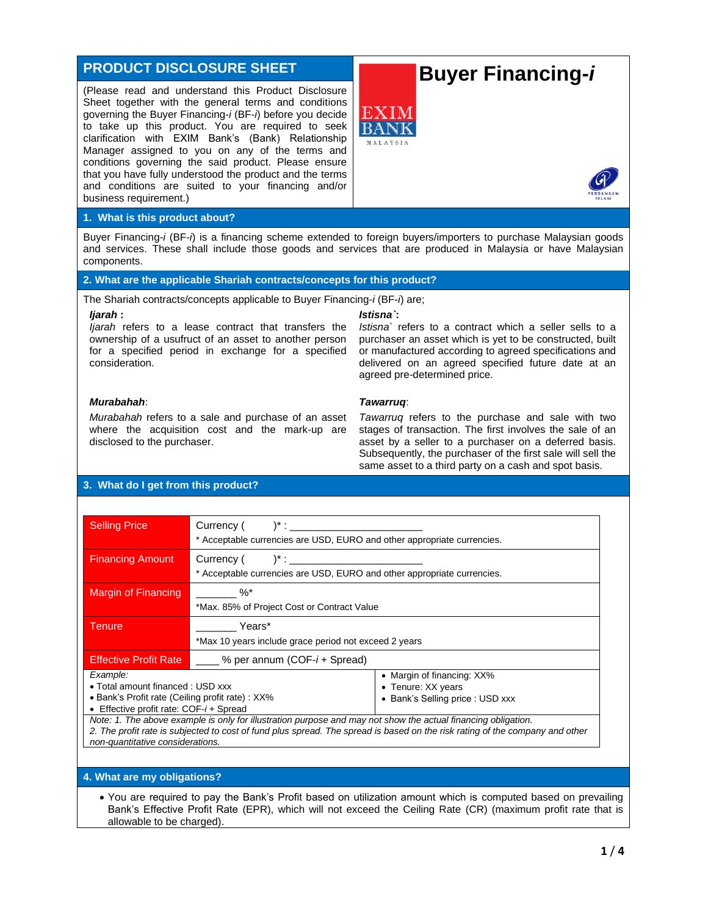# **PRODUCT DISCLOSURE SHEET**

(Please read and understand this Product Disclosure Sheet together with the general terms and conditions governing the Buyer Financing-*i* (BF-*i*) before you decide to take up this product. You are required to seek clarification with EXIM Bank's (Bank) Relationship Manager assigned to you on any of the terms and conditions governing the said product. Please ensure that you have fully understood the product and the terms and conditions are suited to your financing and/or business requirement.)

# **Buyer Financing-***i*



#### **1. What is this product about?**

Buyer Financing-*i* (BF-*i*) is a financing scheme extended to foreign buyers/importers to purchase Malaysian goods and services. These shall include those goods and services that are produced in Malaysia or have Malaysian components.

### **2. What are the applicable Shariah contracts/concepts for this product?**

The Shariah contracts/concepts applicable to Buyer Financing-*i* (BF-*i*) are;

#### *Ijarah* **:**

*Ijarah* refers to a lease contract that transfers the ownership of a usufruct of an asset to another person for a specified period in exchange for a specified consideration.

#### *Istisna`***:**

*Tawarruq*:

*Istisna`* refers to a contract which a seller sells to a purchaser an asset which is yet to be constructed, built or manufactured according to agreed specifications and delivered on an agreed specified future date at an agreed pre-determined price.

# *Murabahah*:

*Murabahah* refers to a sale and purchase of an asset where the acquisition cost and the mark-up are disclosed to the purchaser.

#### *Tawarruq* refers to the purchase and sale with two stages of transaction. The first involves the sale of an asset by a seller to a purchaser on a deferred basis. Subsequently, the purchaser of the first sale will sell the same asset to a third party on a cash and spot basis.

# **3. What do I get from this product?**

| <b>Selling Price</b>                                                                                                                                                                                                                                          | Currency ( $\qquad$ ) <sup>*</sup> :<br>* Acceptable currencies are USD, EURO and other appropriate currencies. |                                                                                      |  |  |
|---------------------------------------------------------------------------------------------------------------------------------------------------------------------------------------------------------------------------------------------------------------|-----------------------------------------------------------------------------------------------------------------|--------------------------------------------------------------------------------------|--|--|
| <b>Financing Amount</b>                                                                                                                                                                                                                                       | $Current($ $)^*$ :<br>* Acceptable currencies are USD, EURO and other appropriate currencies.                   |                                                                                      |  |  |
| <b>Margin of Financing</b>                                                                                                                                                                                                                                    | $\%^*$<br>*Max. 85% of Project Cost or Contract Value                                                           |                                                                                      |  |  |
| Tenure                                                                                                                                                                                                                                                        | Years*<br>*Max 10 years include grace period not exceed 2 years                                                 |                                                                                      |  |  |
| <b>Effective Profit Rate</b>                                                                                                                                                                                                                                  | $\frac{1}{2}$ % per annum (COF- $i$ + Spread)                                                                   |                                                                                      |  |  |
| Example:<br>• Total amount financed : USD xxx<br>• Bank's Profit rate (Ceiling profit rate) : XX%<br>• Effective profit rate: $COF-i+Spread$<br>Note: 1. The above example is only for illustration purpose and may not show the actual financing obligation. |                                                                                                                 | • Margin of financing: XX%<br>• Tenure: XX years<br>• Bank's Selling price : USD xxx |  |  |
| 2. The profit rate is subjected to cost of fund plus spread. The spread is based on the risk rating of the company and other<br>non-quantitative considerations.                                                                                              |                                                                                                                 |                                                                                      |  |  |

#### **4. What are my obligations?**

• You are required to pay the Bank's Profit based on utilization amount which is computed based on prevailing Bank's Effective Profit Rate (EPR), which will not exceed the Ceiling Rate (CR) (maximum profit rate that is allowable to be charged).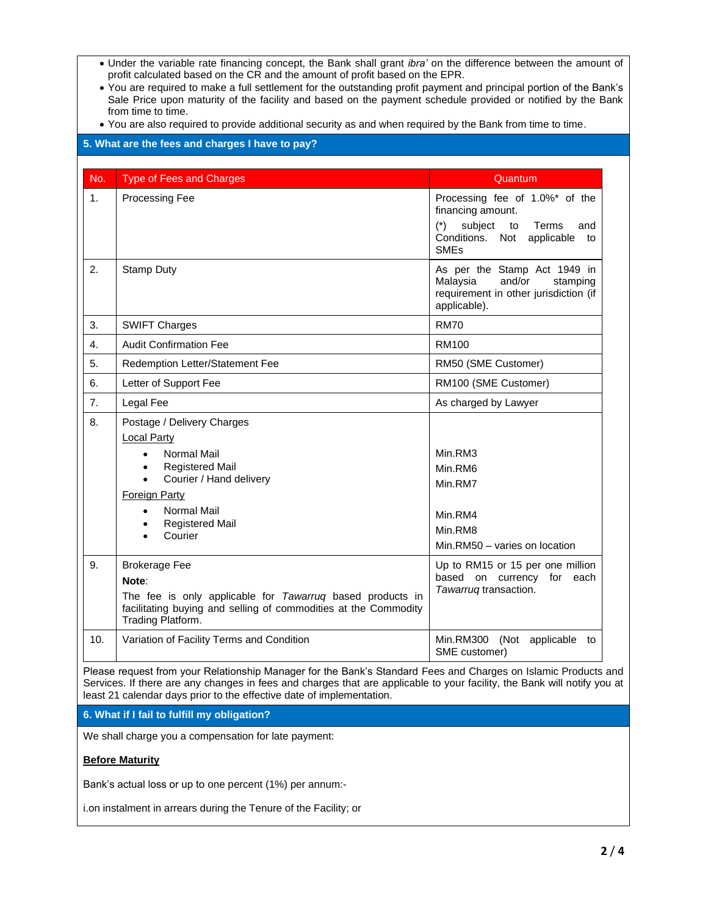- Under the variable rate financing concept, the Bank shall grant *ibra'* on the difference between the amount of profit calculated based on the CR and the amount of profit based on the EPR.
- You are required to make a full settlement for the outstanding profit payment and principal portion of the Bank's Sale Price upon maturity of the facility and based on the payment schedule provided or notified by the Bank from time to time.
- You are also required to provide additional security as and when required by the Bank from time to time.

## **5. What are the fees and charges I have to pay?**

| No. | <b>Type of Fees and Charges</b>                                                                                                                                                                                                                                                | Quantum                                                                                                                                                     |
|-----|--------------------------------------------------------------------------------------------------------------------------------------------------------------------------------------------------------------------------------------------------------------------------------|-------------------------------------------------------------------------------------------------------------------------------------------------------------|
| 1.  | Processing Fee                                                                                                                                                                                                                                                                 | Processing fee of 1.0%* of the<br>financing amount.<br>$(*)$<br>subject<br>to<br>Terms<br>and<br>Conditions. Not applicable<br>to<br><b>SME<sub>s</sub></b> |
| 2.  | <b>Stamp Duty</b>                                                                                                                                                                                                                                                              | As per the Stamp Act 1949 in<br>Malaysia<br>and/or<br>stamping<br>requirement in other jurisdiction (if<br>applicable).                                     |
| 3.  | <b>SWIFT Charges</b>                                                                                                                                                                                                                                                           | <b>RM70</b>                                                                                                                                                 |
| 4.  | <b>Audit Confirmation Fee</b>                                                                                                                                                                                                                                                  | <b>RM100</b>                                                                                                                                                |
| 5.  | Redemption Letter/Statement Fee                                                                                                                                                                                                                                                | RM50 (SME Customer)                                                                                                                                         |
| 6.  | Letter of Support Fee                                                                                                                                                                                                                                                          | RM100 (SME Customer)                                                                                                                                        |
| 7.  | Legal Fee                                                                                                                                                                                                                                                                      | As charged by Lawyer                                                                                                                                        |
| 8.  | Postage / Delivery Charges<br><b>Local Party</b><br>Normal Mail<br>$\bullet$<br><b>Registered Mail</b><br>$\bullet$<br>Courier / Hand delivery<br>$\bullet$<br><b>Foreign Party</b><br>Normal Mail<br>$\bullet$<br><b>Registered Mail</b><br>$\bullet$<br>Courier<br>$\bullet$ | Min.RM3<br>Min.RM6<br>Min.RM7<br>Min.RM4<br>Min.RM8<br>Min.RM50 - varies on location                                                                        |
| 9.  | <b>Brokerage Fee</b><br>Note:<br>The fee is only applicable for Tawarruq based products in<br>facilitating buying and selling of commodities at the Commodity<br>Trading Platform.                                                                                             | Up to RM15 or 15 per one million<br>based on currency for each<br>Tawarrug transaction.                                                                     |
| 10. | Variation of Facility Terms and Condition                                                                                                                                                                                                                                      | Min.RM300 (Not applicable to<br>SME customer)                                                                                                               |

Please request from your Relationship Manager for the Bank's Standard Fees and Charges on Islamic Products and Services. If there are any changes in fees and charges that are applicable to your facility, the Bank will notify you at least 21 calendar days prior to the effective date of implementation.

**6. What if I fail to fulfill my obligation?**

We shall charge you a compensation for late payment:

#### **Before Maturity**

Bank's actual loss or up to one percent (1%) per annum:-

i.on instalment in arrears during the Tenure of the Facility; or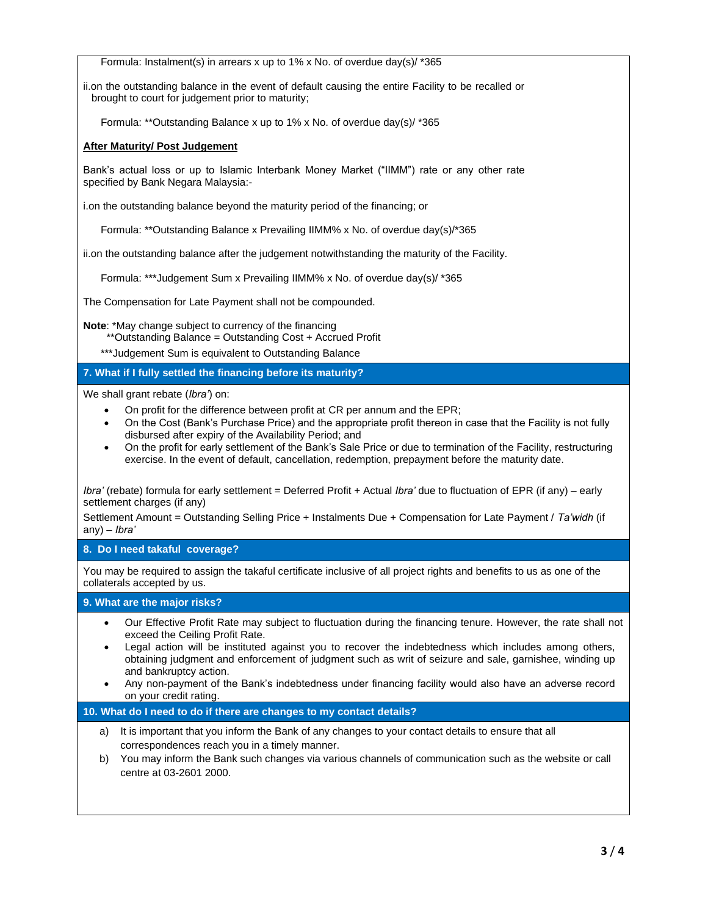Formula: Instalment(s) in arrears x up to 1% x No. of overdue day(s)/ \*365

ii.on the outstanding balance in the event of default causing the entire Facility to be recalled or brought to court for judgement prior to maturity;

Formula: \*\*Outstanding Balance x up to 1% x No. of overdue day(s)/ \*365

# **After Maturity/ Post Judgement**

Bank's actual loss or up to Islamic Interbank Money Market ("IIMM") rate or any other rate specified by Bank Negara Malaysia:-

i.on the outstanding balance beyond the maturity period of the financing; or

Formula: \*\*Outstanding Balance x Prevailing IIMM% x No. of overdue day(s)/\*365

ii.on the outstanding balance after the judgement notwithstanding the maturity of the Facility.

Formula: \*\*\*Judgement Sum x Prevailing IIMM% x No. of overdue day(s)/ \*365

The Compensation for Late Payment shall not be compounded.

**Note**: \*May change subject to currency of the financing

\*\*Outstanding Balance = Outstanding Cost + Accrued Profit

\*\*\*Judgement Sum is equivalent to Outstanding Balance

# **7. What if I fully settled the financing before its maturity?**

We shall grant rebate (*Ibra'*) on:

- On profit for the difference between profit at CR per annum and the EPR;
- On the Cost (Bank's Purchase Price) and the appropriate profit thereon in case that the Facility is not fully disbursed after expiry of the Availability Period; and
- On the profit for early settlement of the Bank's Sale Price or due to termination of the Facility, restructuring exercise. In the event of default, cancellation, redemption, prepayment before the maturity date.

*Ibra'* (rebate) formula for early settlement = Deferred Profit + Actual *Ibra'* due to fluctuation of EPR (if any) – early settlement charges (if any)

Settlement Amount = Outstanding Selling Price + Instalments Due + Compensation for Late Payment / *Ta'widh* (if any) – *Ibra'* 

# **8. Do I need takaful coverage?**

You may be required to assign the takaful certificate inclusive of all project rights and benefits to us as one of the collaterals accepted by us.

# **9. What are the major risks?**

- Our Effective Profit Rate may subject to fluctuation during the financing tenure. However, the rate shall not exceed the Ceiling Profit Rate.
- Legal action will be instituted against you to recover the indebtedness which includes among others, obtaining judgment and enforcement of judgment such as writ of seizure and sale, garnishee, winding up and bankruptcy action.
- Any non-payment of the Bank's indebtedness under financing facility would also have an adverse record on your credit rating.

#### **10. What do I need to do if there are changes to my contact details?**

- a) It is important that you inform the Bank of any changes to your contact details to ensure that all correspondences reach you in a timely manner.
- b) You may inform the Bank such changes via various channels of communication such as the website or call centre at 03-2601 2000.